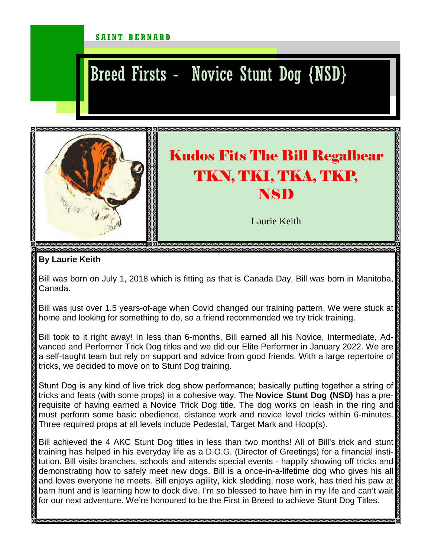## SAINT BERNARD

## Breed Firsts - Novice Stunt Dog {NSD}



## **By Laurie Keith**

Bill was born on July 1, 2018 which is fitting as that is Canada Day, Bill was born in Manitoba, Canada.

Bill was just over 1.5 years-of-age when Covid changed our training pattern. We were stuck at home and looking for something to do, so a friend recommended we try trick training.

Bill took to it right away! In less than 6-months, Bill earned all his Novice, Intermediate, Advanced and Performer Trick Dog titles and we did our Elite Performer in January 2022. We are a self-taught team but rely on support and advice from good friends. With a large repertoire of tricks, we decided to move on to Stunt Dog training.

Stunt Dog is any kind of live trick dog show performance; basically putting together a string of tricks and feats (with some props) in a cohesive way. The **Novice Stunt Dog (NSD)** has a prerequisite of having earned a Novice Trick Dog title. The dog works on leash in the ring and must perform some basic obedience, distance work and novice level tricks within 6-minutes. Three required props at all levels include Pedestal, Target Mark and Hoop(s).

Bill achieved the 4 AKC Stunt Dog titles in less than two months! All of Bill's trick and stunt training has helped in his everyday life as a D.O.G. (Director of Greetings) for a financial institution. Bill visits branches, schools and attends special events - happily showing off tricks and demonstrating how to safely meet new dogs. Bill is a once-in-a-lifetime dog who gives his all and loves everyone he meets. Bill enjoys agility, kick sledding, nose work, has tried his paw at barn hunt and is learning how to dock dive. I'm so blessed to have him in my life and can't wait for our next adventure. We're honoured to be the First in Breed to achieve Stunt Dog Titles.